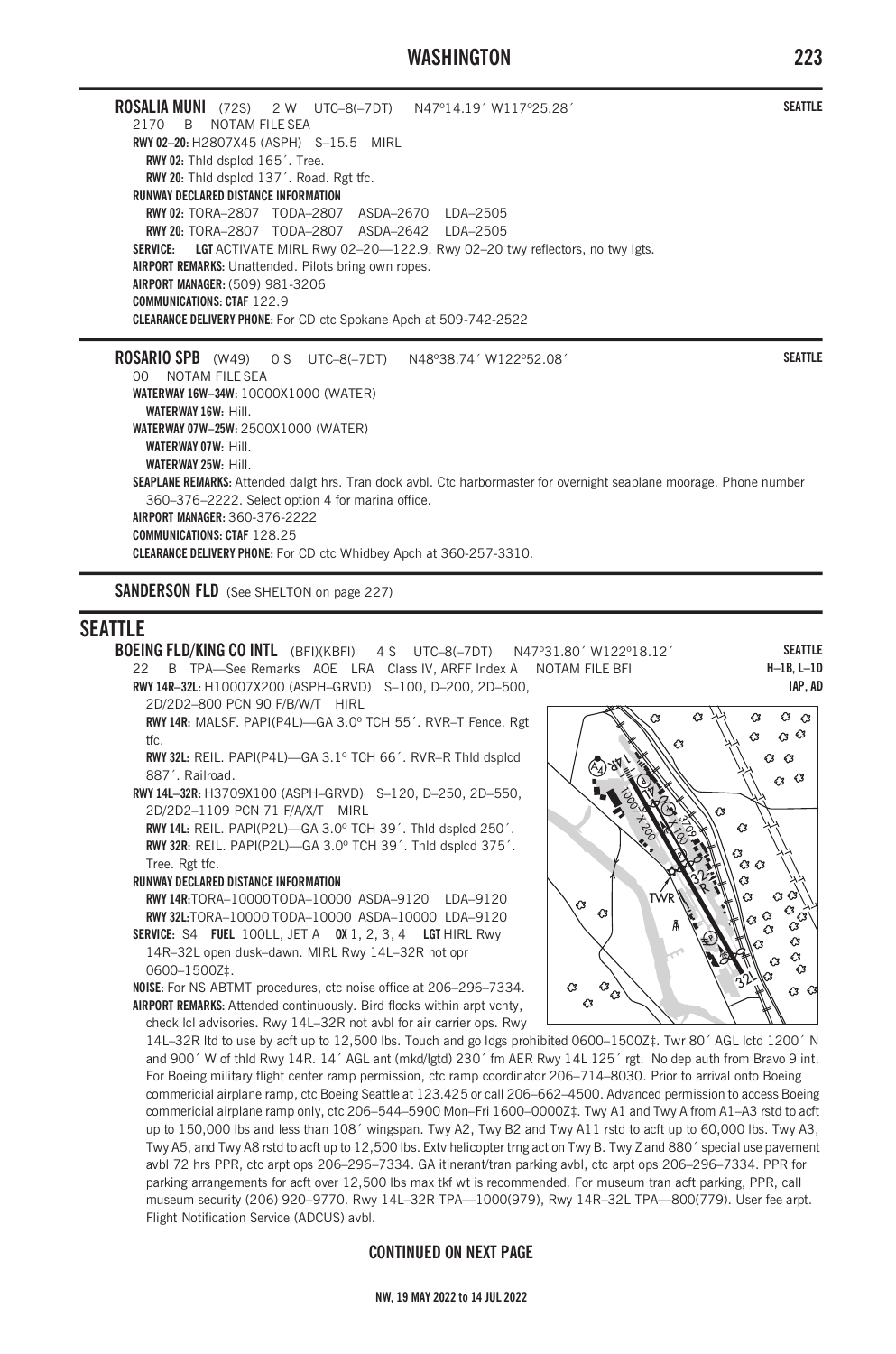# **WASHINGTON 223**

**ROSALIA MUNI** (72S) 2 W UTC–8(–7DT) N47º14.19´ W117º25.28´ 2170 B NOTAM FILE SEA **RWY 02–20:** H2807X45 (ASPH) S–15.5 MIRL **RWY 02:** Thld dsplcd 165´. Tree. **RWY 20:** Thld dsplcd 137´. Road. Rgt tfc. **RUNWAY DECLARED DISTANCE INFORMATION RWY 02:** TORA–2807 TODA–2807 ASDA–2670 LDA–2505 **RWY 20:** TORA–2807 TODA–2807 ASDA–2642 LDA–2505 **SERVICE: LGT** ACTIVATE MIRL Rwy 02–20—122.9. Rwy 02–20 twy reflectors, no twy lgts. **AIRPORT REMARKS:** Unattended. Pilots bring own ropes. **AIRPORT MANAGER:** (509) 981-3206 **COMMUNICATIONS: CTAF** 122.9 **CLEARANCE DELIVERY PHONE:** For CD ctc Spokane Apch at 509-742-2522

**ROSARIO SPB** (W49) 0 S UTC–8(–7DT) N48º38.74´ W122º52.08´ 00 NOTAM FILE SEA **WATERWAY 16W–34W:** 10000X1000 (WATER) **WATERWAY 16W:** Hill. **WATERWAY 07W–25W:** 2500X1000 (WATER) **WATERWAY 07W:** Hill. **WATERWAY 25W:** Hill. **SEAPLANE REMARKS:** Attended dalgt hrs. Tran dock avbl. Ctc harbormaster for overnight seaplane moorage. Phone number 360–376–2222. Select option 4 for marina office. **AIRPORT MANAGER:** 360-376-2222 **COMMUNICATIONS: CTAF** 128.25 **CLEARANCE DELIVERY PHONE:** For CD ctc Whidbey Apch at 360-257-3310.

**SANDERSON FLD** (See SHELTON on page 227)

# **SEATTLE**

**BOEING FLD/KING CO INTL** (BFI)(KBFI) 4 S UTC–8(–7DT) N47º31.80´ W122º18.12´ 22 B TPA—See Remarks AOE LRA Class IV, ARFF Index A NOTAM FILE BFI

**RWY 14R–32L:** H10007X200 (ASPH–GRVD) S–100, D–200, 2D–500,

2D/2D2–800 PCN 90 F/B/W/T HIRL

**RWY 14R:** MALSF. PAPI(P4L)—GA 3.0º TCH 55´. RVR–T Fence. Rgt tfc.

**RWY 32L:** REIL. PAPI(P4L)—GA 3.1º TCH 66´. RVR–R Thld dsplcd 887´. Railroad.

**RWY 14L–32R:** H3709X100 (ASPH–GRVD) S–120, D–250, 2D–550, 2D/2D2–1109 PCN 71 F/A/X/T MIRL

**RWY 14L:** REIL. PAPI(P2L)—GA 3.0º TCH 39´. Thld dsplcd 250´. **RWY 32R:** REIL. PAPI(P2L)—GA 3.0º TCH 39´. Thld dsplcd 375´. Tree. Rgt tfc.

#### **RUNWAY DECLARED DISTANCE INFORMATION**

**RWY 14R:**TORA–10000TODA–10000 ASDA–9120 LDA–9120 **RWY 32L:**TORA–10000 TODA–10000 ASDA–10000 LDA–9120 **SERVICE:** S4 **FUEL** 100LL, JET A **OX** 1, 2, 3, 4 **LGT** HIRL Rwy

14R–32L open dusk–dawn. MIRL Rwy 14L–32R not opr 0600–1500Z‡.

**NOISE:** For NS ABTMT procedures, ctc noise office at 206–296–7334. **AIRPORT REMARKS:** Attended continuously. Bird flocks within arpt vcnty, check lcl advisories. Rwy 14L–32R not avbl for air carrier ops. Rwy

14L–32R ltd to use by acft up to 12,500 lbs. Touch and go ldgs prohibited 0600–1500Z‡. Twr 80´ AGL lctd 1200´ N and 900´ W of thld Rwy 14R. 14´ AGL ant (mkd/lgtd) 230´ fm AER Rwy 14L 125´ rgt. No dep auth from Bravo 9 int. For Boeing military flight center ramp permission, ctc ramp coordinator 206–714–8030. Prior to arrival onto Boeing commericial airplane ramp, ctc Boeing Seattle at 123.425 or call 206–662–4500. Advanced permission to access Boeing commericial airplane ramp only, ctc 206–544–5900 Mon–Fri 1600–0000Z‡. Twy A1 and Twy A from A1–A3 rstd to acft up to 150,000 lbs and less than 108´ wingspan. Twy A2, Twy B2 and Twy A11 rstd to acft up to 60,000 lbs. Twy A3, Twy A5, and Twy A8 rstd to acft up to 12,500 lbs. Extv helicopter trng act on Twy B. Twy Z and 880´ special use pavement avbl 72 hrs PPR, ctc arpt ops 206–296–7334. GA itinerant/tran parking avbl, ctc arpt ops 206–296–7334. PPR for parking arrangements for acft over 12,500 lbs max tkf wt is recommended. For museum tran acft parking, PPR, call museum security (206) 920–9770. Rwy 14L–32R TPA—1000(979), Rwy 14R–32L TPA—800(779). User fee arpt. Flight Notification Service (ADCUS) avbl.

## **CONTINUED ON NEXT PAGE**

Q,  $\circ$  $\hat{c}$  $\alpha$   $\alpha$ À  $\alpha$  $\alpha$  $\alpha$  $\alpha$  $\alpha$ Ĉ3